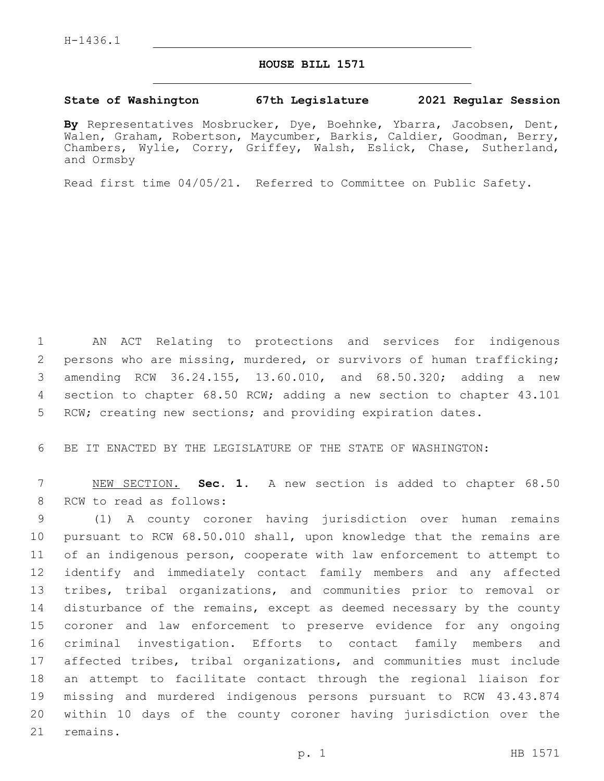## **HOUSE BILL 1571**

## **State of Washington 67th Legislature 2021 Regular Session**

**By** Representatives Mosbrucker, Dye, Boehnke, Ybarra, Jacobsen, Dent, Walen, Graham, Robertson, Maycumber, Barkis, Caldier, Goodman, Berry, Chambers, Wylie, Corry, Griffey, Walsh, Eslick, Chase, Sutherland, and Ormsby

Read first time 04/05/21. Referred to Committee on Public Safety.

 AN ACT Relating to protections and services for indigenous persons who are missing, murdered, or survivors of human trafficking; amending RCW 36.24.155, 13.60.010, and 68.50.320; adding a new section to chapter 68.50 RCW; adding a new section to chapter 43.101 RCW; creating new sections; and providing expiration dates.

6 BE IT ENACTED BY THE LEGISLATURE OF THE STATE OF WASHINGTON:

7 NEW SECTION. **Sec. 1.** A new section is added to chapter 68.50 8 RCW to read as follows:

 (1) A county coroner having jurisdiction over human remains pursuant to RCW 68.50.010 shall, upon knowledge that the remains are of an indigenous person, cooperate with law enforcement to attempt to identify and immediately contact family members and any affected tribes, tribal organizations, and communities prior to removal or 14 disturbance of the remains, except as deemed necessary by the county coroner and law enforcement to preserve evidence for any ongoing criminal investigation. Efforts to contact family members and affected tribes, tribal organizations, and communities must include an attempt to facilitate contact through the regional liaison for missing and murdered indigenous persons pursuant to RCW 43.43.874 within 10 days of the county coroner having jurisdiction over the 21 remains.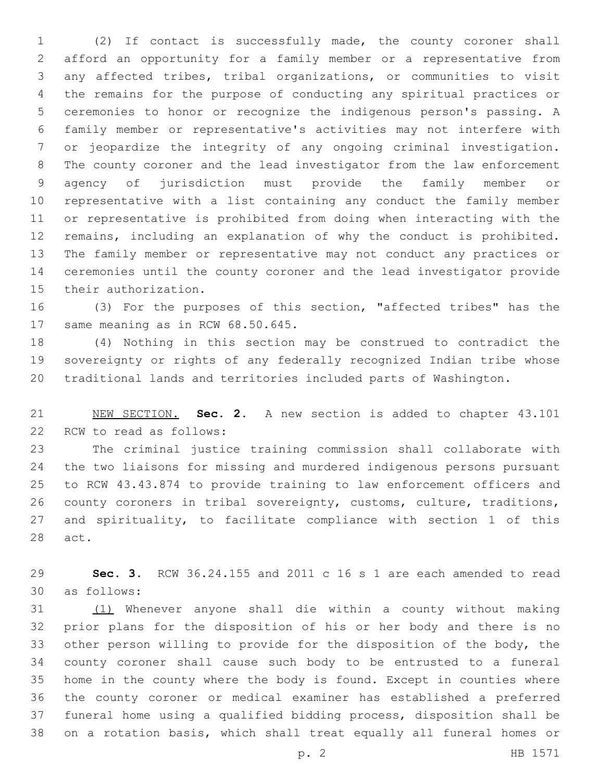(2) If contact is successfully made, the county coroner shall afford an opportunity for a family member or a representative from any affected tribes, tribal organizations, or communities to visit the remains for the purpose of conducting any spiritual practices or ceremonies to honor or recognize the indigenous person's passing. A family member or representative's activities may not interfere with or jeopardize the integrity of any ongoing criminal investigation. The county coroner and the lead investigator from the law enforcement agency of jurisdiction must provide the family member or representative with a list containing any conduct the family member or representative is prohibited from doing when interacting with the remains, including an explanation of why the conduct is prohibited. The family member or representative may not conduct any practices or ceremonies until the county coroner and the lead investigator provide 15 their authorization.

 (3) For the purposes of this section, "affected tribes" has the 17 same meaning as in RCW 68.50.645.

 (4) Nothing in this section may be construed to contradict the sovereignty or rights of any federally recognized Indian tribe whose traditional lands and territories included parts of Washington.

 NEW SECTION. **Sec. 2.** A new section is added to chapter 43.101 22 RCW to read as follows:

 The criminal justice training commission shall collaborate with the two liaisons for missing and murdered indigenous persons pursuant to RCW 43.43.874 to provide training to law enforcement officers and county coroners in tribal sovereignty, customs, culture, traditions, and spirituality, to facilitate compliance with section 1 of this 28 act.

 **Sec. 3.** RCW 36.24.155 and 2011 c 16 s 1 are each amended to read as follows:30

 (1) Whenever anyone shall die within a county without making prior plans for the disposition of his or her body and there is no other person willing to provide for the disposition of the body, the county coroner shall cause such body to be entrusted to a funeral home in the county where the body is found. Except in counties where the county coroner or medical examiner has established a preferred funeral home using a qualified bidding process, disposition shall be on a rotation basis, which shall treat equally all funeral homes or

p. 2 HB 1571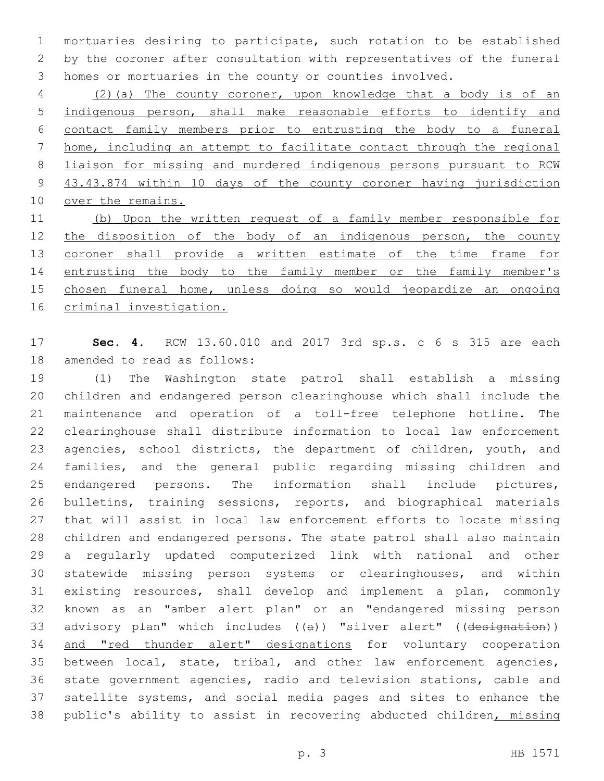mortuaries desiring to participate, such rotation to be established by the coroner after consultation with representatives of the funeral homes or mortuaries in the county or counties involved.

 (2)(a) The county coroner, upon knowledge that a body is of an indigenous person, shall make reasonable efforts to identify and contact family members prior to entrusting the body to a funeral home, including an attempt to facilitate contact through the regional liaison for missing and murdered indigenous persons pursuant to RCW 43.43.874 within 10 days of the county coroner having jurisdiction 10 over the remains.

 (b) Upon the written request of a family member responsible for 12 the disposition of the body of an indigenous person, the county 13 coroner shall provide a written estimate of the time frame for entrusting the body to the family member or the family member's chosen funeral home, unless doing so would jeopardize an ongoing criminal investigation.

 **Sec. 4.** RCW 13.60.010 and 2017 3rd sp.s. c 6 s 315 are each 18 amended to read as follows:

 (1) The Washington state patrol shall establish a missing children and endangered person clearinghouse which shall include the maintenance and operation of a toll-free telephone hotline. The clearinghouse shall distribute information to local law enforcement 23 agencies, school districts, the department of children, youth, and families, and the general public regarding missing children and endangered persons. The information shall include pictures, bulletins, training sessions, reports, and biographical materials that will assist in local law enforcement efforts to locate missing children and endangered persons. The state patrol shall also maintain a regularly updated computerized link with national and other statewide missing person systems or clearinghouses, and within existing resources, shall develop and implement a plan, commonly known as an "amber alert plan" or an "endangered missing person 33 advisory plan" which includes ((a)) "silver alert" ((designation)) and "red thunder alert" designations for voluntary cooperation between local, state, tribal, and other law enforcement agencies, state government agencies, radio and television stations, cable and satellite systems, and social media pages and sites to enhance the 38 public's ability to assist in recovering abducted children, missing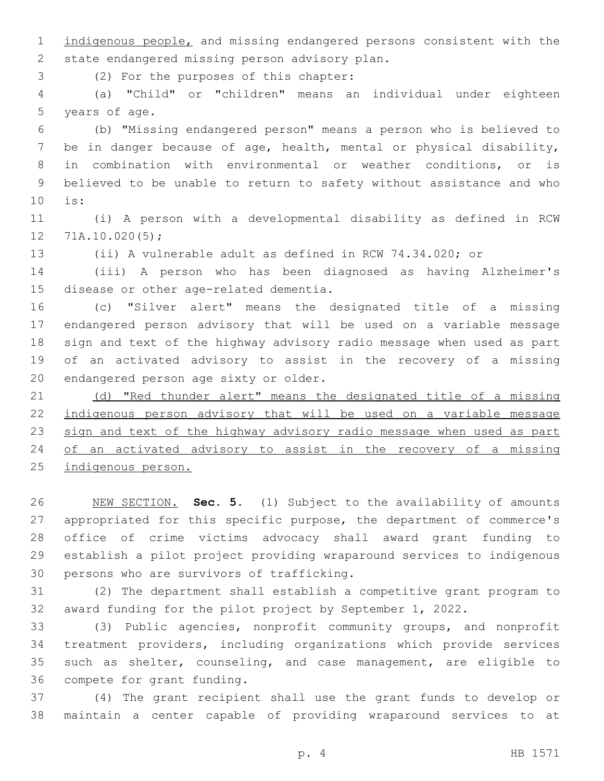indigenous people, and missing endangered persons consistent with the 2 state endangered missing person advisory plan.

(2) For the purposes of this chapter:3

 (a) "Child" or "children" means an individual under eighteen 5 years of age.

 (b) "Missing endangered person" means a person who is believed to be in danger because of age, health, mental or physical disability, in combination with environmental or weather conditions, or is believed to be unable to return to safety without assistance and who is:10

 (i) A person with a developmental disability as defined in RCW  $12 \quad 71A.10.020(5);$ 

(ii) A vulnerable adult as defined in RCW 74.34.020; or

 (iii) A person who has been diagnosed as having Alzheimer's 15 disease or other age-related dementia.

 (c) "Silver alert" means the designated title of a missing endangered person advisory that will be used on a variable message sign and text of the highway advisory radio message when used as part of an activated advisory to assist in the recovery of a missing 20 endangered person age sixty or older.

21 (d) "Red thunder alert" means the designated title of a missing indigenous person advisory that will be used on a variable message 23 sign and text of the highway advisory radio message when used as part of an activated advisory to assist in the recovery of a missing indigenous person.

 NEW SECTION. **Sec. 5.** (1) Subject to the availability of amounts appropriated for this specific purpose, the department of commerce's office of crime victims advocacy shall award grant funding to establish a pilot project providing wraparound services to indigenous persons who are survivors of trafficking.

 (2) The department shall establish a competitive grant program to award funding for the pilot project by September 1, 2022.

 (3) Public agencies, nonprofit community groups, and nonprofit treatment providers, including organizations which provide services such as shelter, counseling, and case management, are eligible to 36 compete for grant funding.

 (4) The grant recipient shall use the grant funds to develop or maintain a center capable of providing wraparound services to at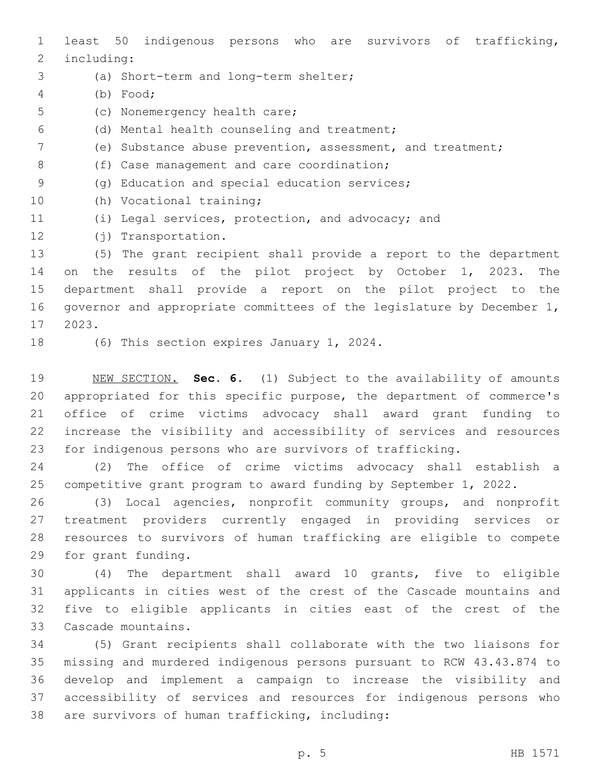least 50 indigenous persons who are survivors of trafficking, 2 including:

- (a) Short-term and long-term shelter;3
- (b) Food;4
- 5 (c) Nonemergency health care;
- (d) Mental health counseling and treatment;6
- (e) Substance abuse prevention, assessment, and treatment;
- 8 (f) Case management and care coordination;
- 9 (g) Education and special education services;
- 10 (h) Vocational training;
- (i) Legal services, protection, and advocacy; and
- 12 (j) Transportation.

 (5) The grant recipient shall provide a report to the department on the results of the pilot project by October 1, 2023. The department shall provide a report on the pilot project to the governor and appropriate committees of the legislature by December 1, 2023.17

18 (6) This section expires January 1, 2024.

 NEW SECTION. **Sec. 6.** (1) Subject to the availability of amounts appropriated for this specific purpose, the department of commerce's office of crime victims advocacy shall award grant funding to increase the visibility and accessibility of services and resources for indigenous persons who are survivors of trafficking.

 (2) The office of crime victims advocacy shall establish a competitive grant program to award funding by September 1, 2022.

 (3) Local agencies, nonprofit community groups, and nonprofit treatment providers currently engaged in providing services or resources to survivors of human trafficking are eligible to compete 29 for grant funding.

 (4) The department shall award 10 grants, five to eligible applicants in cities west of the crest of the Cascade mountains and five to eligible applicants in cities east of the crest of the 33 Cascade mountains.

 (5) Grant recipients shall collaborate with the two liaisons for missing and murdered indigenous persons pursuant to RCW 43.43.874 to develop and implement a campaign to increase the visibility and accessibility of services and resources for indigenous persons who 38 are survivors of human trafficking, including: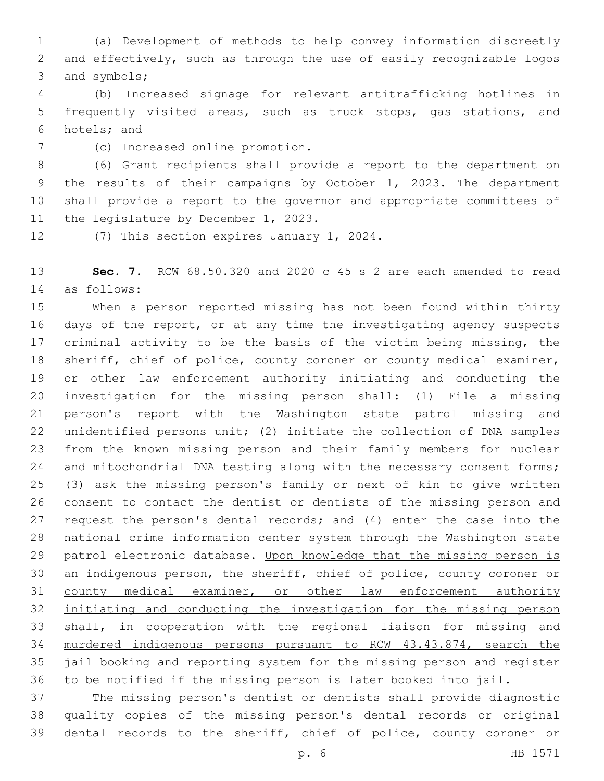(a) Development of methods to help convey information discreetly and effectively, such as through the use of easily recognizable logos 3 and symbols;

 (b) Increased signage for relevant antitrafficking hotlines in frequently visited areas, such as truck stops, gas stations, and 6 hotels; and

(c) Increased online promotion.7

 (6) Grant recipients shall provide a report to the department on the results of their campaigns by October 1, 2023. The department shall provide a report to the governor and appropriate committees of 11 the legislature by December 1, 2023.

12 (7) This section expires January 1, 2024.

 **Sec. 7.** RCW 68.50.320 and 2020 c 45 s 2 are each amended to read as follows:14

 When a person reported missing has not been found within thirty days of the report, or at any time the investigating agency suspects 17 criminal activity to be the basis of the victim being missing, the sheriff, chief of police, county coroner or county medical examiner, or other law enforcement authority initiating and conducting the investigation for the missing person shall: (1) File a missing person's report with the Washington state patrol missing and unidentified persons unit; (2) initiate the collection of DNA samples from the known missing person and their family members for nuclear 24 and mitochondrial DNA testing along with the necessary consent forms; (3) ask the missing person's family or next of kin to give written consent to contact the dentist or dentists of the missing person and request the person's dental records; and (4) enter the case into the national crime information center system through the Washington state 29 patrol electronic database. Upon knowledge that the missing person is an indigenous person, the sheriff, chief of police, county coroner or 31 county medical examiner, or other law enforcement authority initiating and conducting the investigation for the missing person shall, in cooperation with the regional liaison for missing and murdered indigenous persons pursuant to RCW 43.43.874, search the jail booking and reporting system for the missing person and register to be notified if the missing person is later booked into jail.

 The missing person's dentist or dentists shall provide diagnostic quality copies of the missing person's dental records or original dental records to the sheriff, chief of police, county coroner or